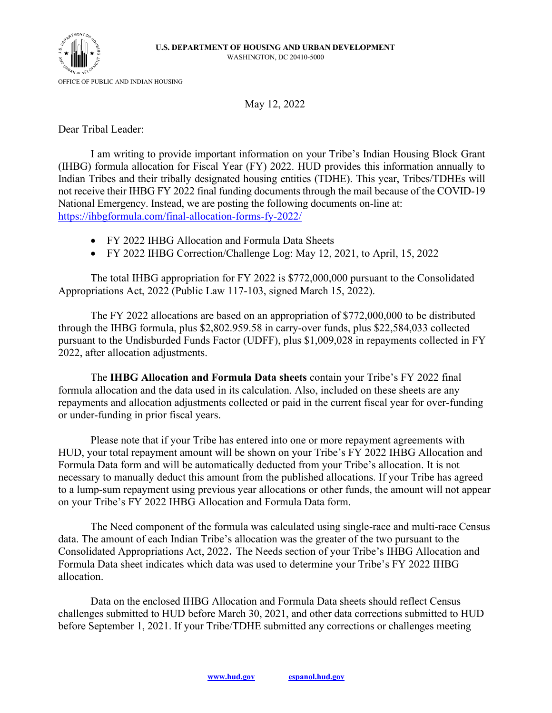

OFFICE OF PUBLIC AND INDIAN HOUSING

May 12, 2022

Dear Tribal Leader:

I am writing to provide important information on your Tribe's Indian Housing Block Grant (IHBG) formula allocation for Fiscal Year (FY) 2022. HUD provides this information annually to Indian Tribes and their tribally designated housing entities (TDHE). This year, Tribes/TDHEs will not receive their IHBG FY 2022 final funding documents through the mail because of the COVID-19 National Emergency. Instead, we are posting the following documents on-line at: <https://ihbgformula.com/final-allocation-forms-fy-2022/>

- FY 2022 IHBG Allocation and Formula Data Sheets
- FY 2022 IHBG Correction/Challenge Log: May 12, 2021, to April, 15, 2022

The total IHBG appropriation for FY 2022 is \$772,000,000 pursuant to the Consolidated Appropriations Act, 2022 (Public Law 117-103, signed March 15, 2022).

The FY 2022 allocations are based on an appropriation of \$772,000,000 to be distributed through the IHBG formula, plus \$2,802.959.58 in carry-over funds, plus \$22,584,033 collected pursuant to the Undisburded Funds Factor (UDFF), plus \$1,009,028 in repayments collected in FY 2022, after allocation adjustments.

The **IHBG Allocation and Formula Data sheets** contain your Tribe's FY 2022 final formula allocation and the data used in its calculation. Also, included on these sheets are any repayments and allocation adjustments collected or paid in the current fiscal year for over-funding or under-funding in prior fiscal years.

Please note that if your Tribe has entered into one or more repayment agreements with HUD, your total repayment amount will be shown on your Tribe's FY 2022 IHBG Allocation and Formula Data form and will be automatically deducted from your Tribe's allocation. It is not necessary to manually deduct this amount from the published allocations. If your Tribe has agreed to a lump-sum repayment using previous year allocations or other funds, the amount will not appear on your Tribe's FY 2022 IHBG Allocation and Formula Data form.

The Need component of the formula was calculated using single-race and multi-race Census data. The amount of each Indian Tribe's allocation was the greater of the two pursuant to the Consolidated Appropriations Act, 2022. The Needs section of your Tribe's IHBG Allocation and Formula Data sheet indicates which data was used to determine your Tribe's FY 2022 IHBG allocation.

Data on the enclosed IHBG Allocation and Formula Data sheets should reflect Census challenges submitted to HUD before March 30, 2021, and other data corrections submitted to HUD before September 1, 2021. If your Tribe/TDHE submitted any corrections or challenges meeting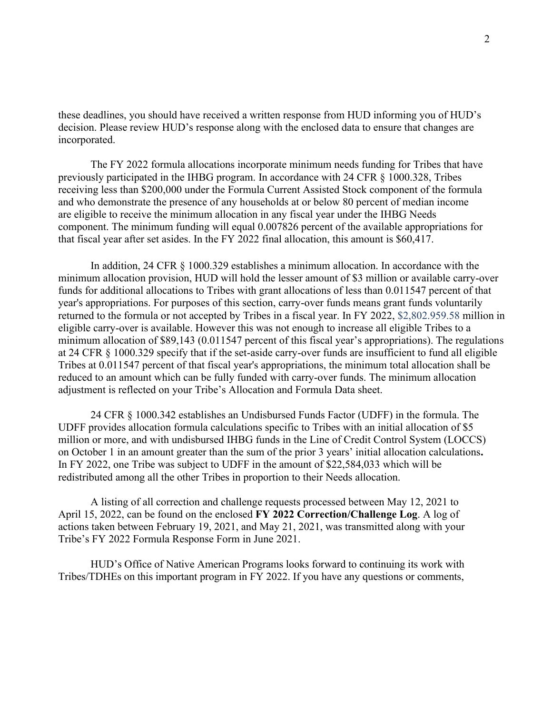these deadlines, you should have received a written response from HUD informing you of HUD's decision. Please review HUD's response along with the enclosed data to ensure that changes are incorporated.

The FY 2022 formula allocations incorporate minimum needs funding for Tribes that have previously participated in the IHBG program. In accordance with 24 CFR § 1000.328, Tribes receiving less than \$200,000 under the Formula Current Assisted Stock component of the formula and who demonstrate the presence of any households at or below 80 percent of median income are eligible to receive the minimum allocation in any fiscal year under the IHBG Needs component. The minimum funding will equal 0.007826 percent of the available appropriations for that fiscal year after set asides. In the FY 2022 final allocation, this amount is \$60,417.

In addition, 24 CFR § 1000.329 establishes a minimum allocation. In accordance with the minimum allocation provision, HUD will hold the lesser amount of \$3 million or available carry-over funds for additional allocations to Tribes with grant allocations of less than 0.011547 percent of that year's appropriations. For purposes of this section, carry-over funds means grant funds voluntarily returned to the formula or not accepted by Tribes in a fiscal year. In FY 2022, \$2,802.959.58 million in eligible carry-over is available. However this was not enough to increase all eligible Tribes to a minimum allocation of \$89,143 (0.011547 percent of this fiscal year's appropriations). The regulations at 24 CFR § 1000.329 specify that if the set-aside carry-over funds are insufficient to fund all eligible Tribes at 0.011547 percent of that fiscal year's appropriations, the minimum total allocation shall be reduced to an amount which can be fully funded with carry-over funds. The minimum allocation adjustment is reflected on your Tribe's Allocation and Formula Data sheet.

24 CFR § 1000.342 establishes an Undisbursed Funds Factor (UDFF) in the formula. The UDFF provides allocation formula calculations specific to Tribes with an initial allocation of \$5 million or more, and with undisbursed IHBG funds in the Line of Credit Control System (LOCCS) on October 1 in an amount greater than the sum of the prior 3 years' initial allocation calculations**.**  In FY 2022, one Tribe was subject to UDFF in the amount of \$22,584,033 which will be redistributed among all the other Tribes in proportion to their Needs allocation.

A listing of all correction and challenge requests processed between May 12, 2021 to April 15, 2022, can be found on the enclosed **FY 2022 Correction/Challenge Log**. A log of actions taken between February 19, 2021, and May 21, 2021, was transmitted along with your Tribe's FY 2022 Formula Response Form in June 2021.

HUD's Office of Native American Programs looks forward to continuing its work with Tribes/TDHEs on this important program in FY 2022. If you have any questions or comments,